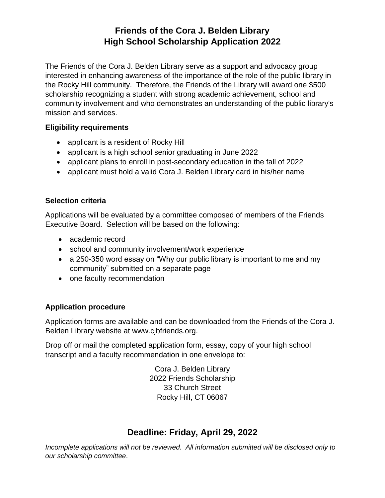# **Friends of the Cora J. Belden Library High School Scholarship Application 2022**

The Friends of the Cora J. Belden Library serve as a support and advocacy group interested in enhancing awareness of the importance of the role of the public library in the Rocky Hill community. Therefore, the Friends of the Library will award one \$500 scholarship recognizing a student with strong academic achievement, school and community involvement and who demonstrates an understanding of the public library's mission and services.

#### **Eligibility requirements**

- applicant is a resident of Rocky Hill
- applicant is a high school senior graduating in June 2022
- applicant plans to enroll in post-secondary education in the fall of 2022
- applicant must hold a valid Cora J. Belden Library card in his/her name

### **Selection criteria**

Applications will be evaluated by a committee composed of members of the Friends Executive Board. Selection will be based on the following:

- academic record
- school and community involvement/work experience
- a 250-350 word essay on "Why our public library is important to me and my community" submitted on a separate page
- one faculty recommendation

### **Application procedure**

Application forms are available and can be downloaded from the Friends of the Cora J. Belden Library website at www.cjbfriends.org.

Drop off or mail the completed application form, essay, copy of your high school transcript and a faculty recommendation in one envelope to:

> Cora J. Belden Library 2022 Friends Scholarship 33 Church Street Rocky Hill, CT 06067

# **Deadline: Friday, April 29, 2022**

*Incomplete applications will not be reviewed. All information submitted will be disclosed only to our scholarship committee*.